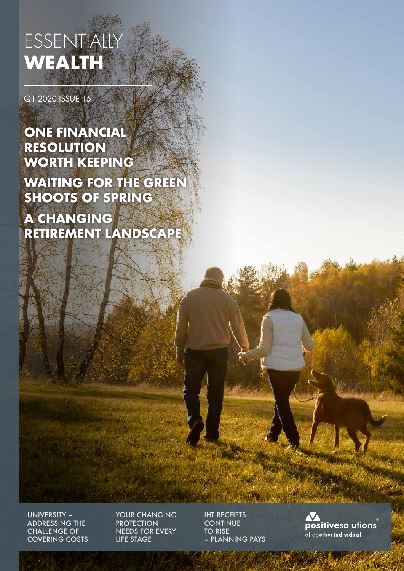# ESSENTIALLY **WEALTH**

Q1 2020 ISSUE 15

### **ONE FINANCIAL RESOLUTION WORTH KEEPING**

**WAITING FOR THE GREEN SHOOTS OF SPRING**

**A CHANGING RETIREMENT LANDSCAPE**

UNIVERSITY – ADDRESSING THE CHALLENGE OF COVERING COSTS YOUR CHANGING **PROTECTION** NEEDS FOR EVERY LIFE STAGE

IHT RECEIPTS **CONTINUE** TO RISE – PLANNING PAYS

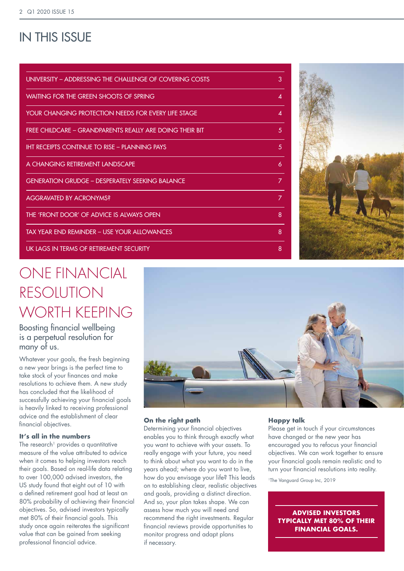### IN THIS ISSUE

| UNIVERSITY – ADDRESSING THE CHALLENGE OF COVERING COSTS  | 3 |
|----------------------------------------------------------|---|
| WAITING FOR THE GREEN SHOOTS OF SPRING                   | 4 |
| YOUR CHANGING PROTECTION NEEDS FOR EVERY LIFE STAGE      | 4 |
| FREE CHILDCARE - GRANDPARENTS REALLY ARE DOING THEIR BIT | 5 |
| <b>IHT RECEIPTS CONTINUE TO RISE - PLANNING PAYS</b>     | 5 |
| A CHANGING RETIREMENT LANDSCAPE                          | 6 |
| <b>GENERATION GRUDGE – DESPERATELY SEEKING BALANCE</b>   | 7 |
| <b>AGGRAVATED BY ACRONYMS?</b>                           | 7 |
| THE 'FRONT DOOR' OF ADVICE IS ALWAYS OPEN                | 8 |
| TAX YEAR END REMINDER – USE YOUR ALLOWANCES              | 8 |
| UK LAGS IN TERMS OF RETIREMENT SECURITY                  | 8 |



## ONE FINANCIAL RESOLUTION WORTH KEEPING

Boosting financial wellbeing is a perpetual resolution for many of us.

Whatever your goals, the fresh beginning a new year brings is the perfect time to take stock of your finances and make resolutions to achieve them. A new study has concluded that the likelihood of successfully achieving your financial goals is heavily linked to receiving professional advice and the establishment of clear financial objectives.

#### **It's all in the numbers**

The research<sup>1</sup> provides a quantitative measure of the value attributed to advice when it comes to helping investors reach their goals. Based on real-life data relating to over 100,000 advised investors, the US study found that eight out of 10 with a defined retirement goal had at least an 80% probability of achieving their financial objectives. So, advised investors typically met 80% of their financial goals. This study once again reiterates the significant value that can be gained from seeking professional financial advice.



#### **On the right path**

Determining your financial objectives enables you to think through exactly what you want to achieve with your assets. To really engage with your future, you need to think about what you want to do in the years ahead; where do you want to live, how do you envisage your life? This leads on to establishing clear, realistic objectives and goals, providing a distinct direction. And so, your plan takes shape. We can assess how much you will need and recommend the right investments. Regular financial reviews provide opportunities to monitor progress and adapt plans if necessary.

#### **Happy talk**

Please get in touch if your circumstances have changed or the new year has encouraged you to refocus your financial objectives. We can work together to ensure your financial goals remain realistic and to turn your financial resolutions into reality.

1The Vanguard Group Inc, 2019

**ADVISED INVESTORS TYPICALLY MET 80% OF THEIR FINANCIAL GOALS.**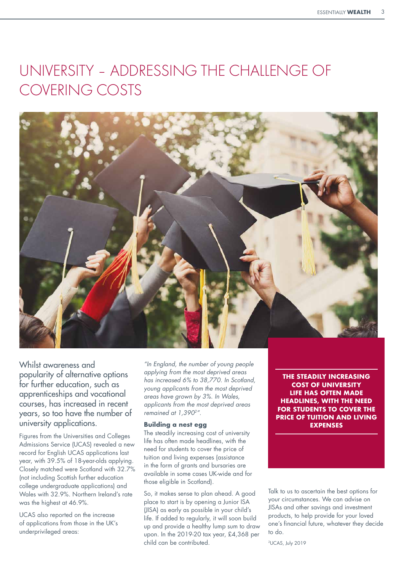### UNIVERSITY – ADDRESSING THE CHALLENGE OF COVERING COSTS



Whilst awareness and popularity of alternative options for further education, such as apprenticeships and vocational courses, has increased in recent years, so too have the number of university applications.

Figures from the Universities and Colleges Admissions Service (UCAS) revealed a new record for English UCAS applications last year, with 39.5% of 18-year-olds applying. Closely matched were Scotland with 32.7% (not including Scottish further education college undergraduate applications) and Wales with 32.9%. Northern Ireland's rate was the highest at 46.9%.

UCAS also reported on the increase of applications from those in the UK's underprivileged areas:

*"In England, the number of young people applying from the most deprived areas has increased 6% to 38,770. In Scotland, young applicants from the most deprived areas have grown by 3%. In Wales, applicants from the most deprived areas remained at 1,3902".*

#### **Building a nest egg**

The steadily increasing cost of university life has often made headlines, with the need for students to cover the price of tuition and living expenses (assistance in the form of grants and bursaries are available in some cases UK-wide and for those eligible in Scotland).

So, it makes sense to plan ahead. A good place to start is by opening a Junior ISA (JISA) as early as possible in your child's life. If added to regularly, it will soon build up and provide a healthy lump sum to draw upon. In the 2019-20 tax year, £4,368 per child can be contributed.

**THE STEADILY INCREASING COST OF UNIVERSITY LIFE HAS OFTEN MADE HEADLINES, WITH THE NEED FOR STUDENTS TO COVER THE PRICE OF TUITION AND LIVING EXPENSES**

Talk to us to ascertain the best options for your circumstances. We can advise on JISAs and other savings and investment products, to help provide for your loved one's financial future, whatever they decide to do.

2UCAS, July 2019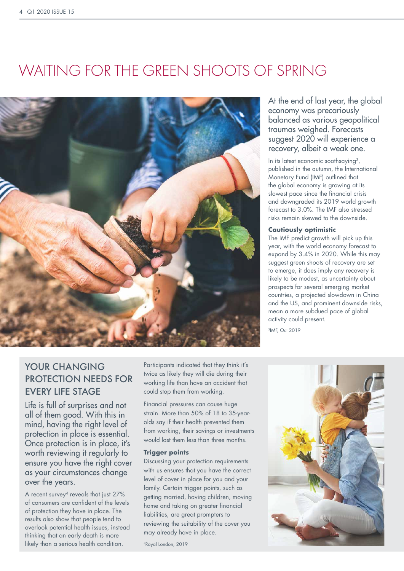## WAITING FOR THE GREEN SHOOTS OF SPRING



### YOUR CHANGING PROTECTION NEEDS FOR EVERY LIFE STAGE

Life is full of surprises and not all of them good. With this in mind, having the right level of protection in place is essential. Once protection is in place, it's worth reviewing it regularly to ensure you have the right cover as your circumstances change over the years.

A recent survey<sup>4</sup> reveals that just 27% of consumers are confident of the levels of protection they have in place. The results also show that people tend to overlook potential health issues, instead thinking that an early death is more likely than a serious health condition.

Participants indicated that they think it's twice as likely they will die during their working life than have an accident that could stop them from working.

Financial pressures can cause huge strain. More than 50% of 18 to 35-yearolds say if their health prevented them from working, their savings or investments would last them less than three months.

#### **Trigger points**

Discussing your protection requirements with us ensures that you have the correct level of cover in place for you and your family. Certain trigger points, such as getting married, having children, moving home and taking on greater financial liabilities, are great prompters to reviewing the suitability of the cover you may already have in place.

4Royal London, 2019

At the end of last year, the global economy was precariously balanced as various geopolitical traumas weighed. Forecasts suggest 2020 will experience a recovery, albeit a weak one.

In its latest economic soothsaying<sup>3</sup>, published in the autumn, the International Monetary Fund (IMF) outlined that the global economy is growing at its slowest pace since the financial crisis and downgraded its 2019 world growth forecast to 3.0%. The IMF also stressed risks remain skewed to the downside.

#### **Cautiously optimistic**

The IMF predict growth will pick up this year, with the world economy forecast to expand by 3.4% in 2020. While this may suggest green shoots of recovery are set to emerge, it does imply any recovery is likely to be modest, as uncertainty about prospects for several emerging market countries, a projected slowdown in China and the US, and prominent downside risks, mean a more subdued pace of global activity could present.

3IMF, Oct 2019

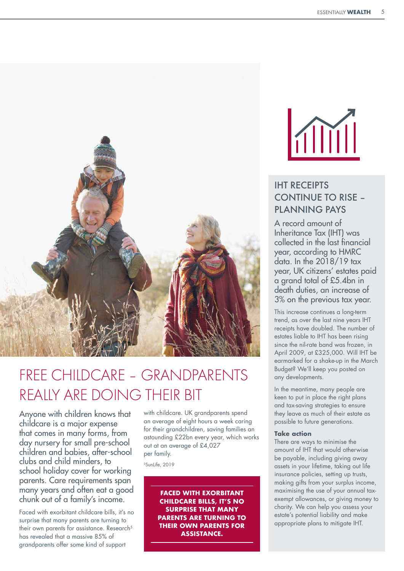

## FREE CHILDCARE – GRANDPARENTS REALLY ARE DOING THEIR BIT

Anyone with children knows that childcare is a major expense that comes in many forms, from day nursery for small pre-school children and babies, after-school clubs and child minders, to school holiday cover for working parents. Care requirements span many years and often eat a good chunk out of a family's income.

Faced with exorbitant childcare bills, it's no surprise that many parents are turning to their own parents for assistance. Research<sup>5</sup> has revealed that a massive 85% of grandparents offer some kind of support

with childcare. UK grandparents spend an average of eight hours a week caring for their grandchildren, saving families an astounding £22bn every year, which works out at an average of £4,027 per family.

5SunLife, 2019

**FACED WITH EXORBITANT CHILDCARE BILLS, IT'S NO SURPRISE THAT MANY PARENTS ARE TURNING TO THEIR OWN PARENTS FOR ASSISTANCE.**



### IHT RECEIPTS CONTINUE TO RISE – PLANNING PAYS

A record amount of Inheritance Tax (IHT) was collected in the last financial year, according to HMRC data. In the 2018/19 tax year, UK citizens' estates paid a grand total of £5.4bn in death duties, an increase of 3% on the previous tax year.

This increase continues a long-term trend, as over the last nine years IHT receipts have doubled. The number of estates liable to IHT has been rising since the nil-rate band was frozen, in April 2009, at £325,000. Will IHT be earmarked for a shake-up in the March Budget? We'll keep you posted on any developments.

In the meantime, many people are keen to put in place the right plans and tax-saving strategies to ensure they leave as much of their estate as possible to future generations.

#### **Take action**

There are ways to minimise the amount of IHT that would otherwise be payable, including giving away assets in your lifetime, taking out life insurance policies, setting up trusts, making gifts from your surplus income, maximising the use of your annual taxexempt allowances, or giving money to charity. We can help you assess your estate's potential liability and make appropriate plans to mitigate IHT.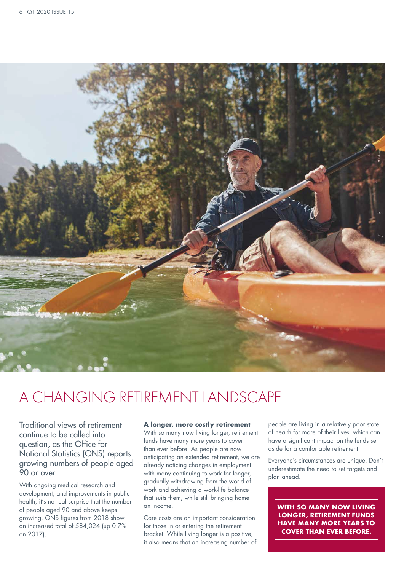

### A CHANGING RETIREMENT LANDSCAPE

Traditional views of retirement continue to be called into question, as the Office for National Statistics (ONS) reports growing numbers of people aged 90 or over.

With ongoing medical research and development, and improvements in public health, it's no real surprise that the number of people aged 90 and above keeps growing. ONS figures from 2018 show an increased total of 584,024 (up 0.7% on 2017).

#### **A longer, more costly retirement**

With so many now living longer, retirement funds have many more years to cover than ever before. As people are now anticipating an extended retirement, we are already noticing changes in employment with many continuing to work for longer, gradually withdrawing from the world of work and achieving a work-life balance that suits them, while still bringing home an income.

Care costs are an important consideration for those in or entering the retirement bracket. While living longer is a positive, it also means that an increasing number of people are living in a relatively poor state of health for more of their lives, which can have a significant impact on the funds set aside for a comfortable retirement.

Everyone's circumstances are unique. Don't underestimate the need to set targets and plan ahead.

**WITH SO MANY NOW LIVING LONGER, RETIREMENT FUNDS HAVE MANY MORE YEARS TO COVER THAN EVER BEFORE.**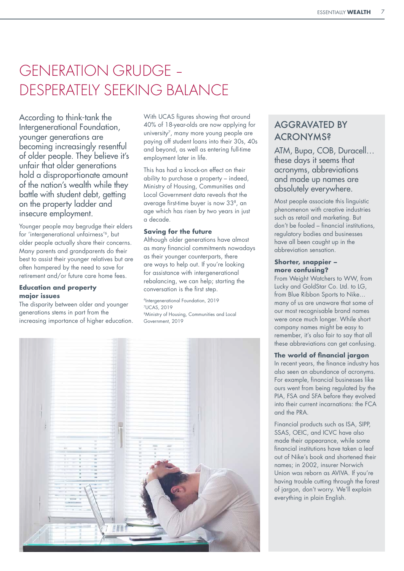## GENERATION GRUDGE – DESPERATELY SEEKING BALANCE

According to think-tank the Intergenerational Foundation, younger generations are becoming increasingly resentful of older people. They believe it's unfair that older generations hold a disproportionate amount of the nation's wealth while they battle with student debt, getting on the property ladder and insecure employment.

Younger people may begrudge their elders for 'intergenerational unfairness'6, but older people actually share their concerns. Many parents and grandparents do their best to assist their younger relatives but are often hampered by the need to save for retirement and/or future care home fees.

#### **Education and property major issues**

The disparity between older and younger generations stems in part from the increasing importance of higher education. With UCAS figures showing that around 40% of 18-year-olds are now applying for university<sup>7</sup>, many more young people are paying off student loans into their 30s, 40s and beyond, as well as entering full-time employment later in life.

This has had a knock-on effect on their ability to purchase a property – indeed, Ministry of Housing, Communities and Local Government data reveals that the average first-time buyer is now 338, an age which has risen by two years in just a decade.

#### **Saving for the future**

Although older generations have almost as many financial commitments nowadays as their younger counterparts, there are ways to help out. If you're looking for assistance with intergenerational rebalancing, we can help; starting the conversation is the first step.

6Intergenerational Foundation, 2019 7UCAS, 2019 8Ministry of Housing, Communities and Local Government, 2019



### AGGRAVATED BY **ACRONYMS?**

ATM, Bupa, COB, Duracell… these days it seems that acronyms, abbreviations and made up names are absolutely everywhere.

Most people associate this linguistic phenomenon with creative industries such as retail and marketing. But don't be fooled – financial institutions, regulatory bodies and businesses have all been caught up in the abbreviation sensation.

#### **Shorter, snappier – more confusing?**

From Weight Watchers to WW, from Lucky and GoldStar Co. Ltd. to LG, from Blue Ribbon Sports to Nike… many of us are unaware that some of our most recognisable brand names were once much longer. While short company names might be easy to remember, it's also fair to say that all these abbreviations can get confusing.

#### **The world of financial jargon**

In recent years, the finance industry has also seen an abundance of acronyms. For example, financial businesses like ours went from being regulated by the PIA, FSA and SFA before they evolved into their current incarnations: the FCA and the PRA.

Financial products such as ISA, SIPP, SSAS, OEIC, and ICVC have also made their appearance, while some financial institutions have taken a leaf out of Nike's book and shortened their names; in 2002, insurer Norwich Union was reborn as AVIVA. If you're having trouble cutting through the forest of jargon, don't worry. We'll explain everything in plain English.